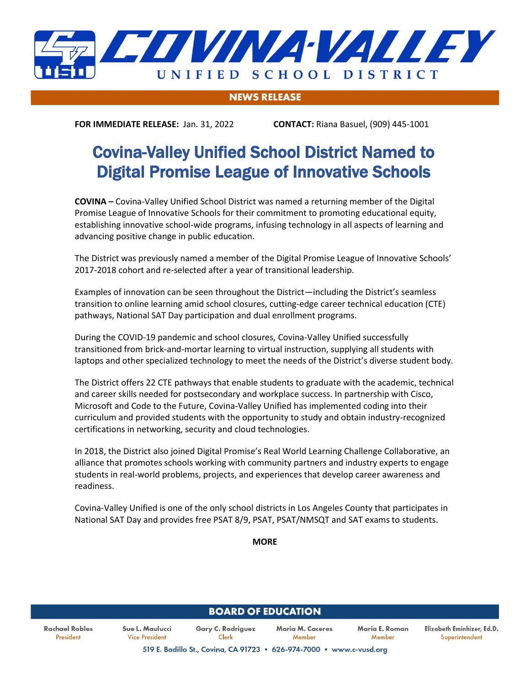

## **NEWS RELEASE**

**FOR IMMEDIATE RELEASE:** Jan. 31, 2022 **CONTACT:** Riana Basuel, (909) 445-1001

## Covina-Valley Unified School District Named to Digital Promise League of Innovative Schools

**COVINA –** Covina-Valley Unified School District was named a returning member of the Digital Promise League of Innovative Schools for their commitment to promoting educational equity, establishing innovative school-wide programs, infusing technology in all aspects of learning and advancing positive change in public education.

The District was previously named a member of the Digital Promise League of Innovative Schools' 2017-2018 cohort and re-selected after a year of transitional leadership.

Examples of innovation can be seen throughout the District—including the District's seamless transition to online learning amid school closures, cutting-edge career technical education (CTE) pathways, National SAT Day participation and dual enrollment programs.

During the COVID-19 pandemic and school closures, Covina-Valley Unified successfully transitioned from brick-and-mortar learning to virtual instruction, supplying all students with laptops and other specialized technology to meet the needs of the District's diverse student body.

The District offers 22 CTE pathways that enable students to graduate with the academic, technical and career skills needed for postsecondary and workplace success. In partnership with Cisco, Microsoft and Code to the Future, Covina-Valley Unified has implemented coding into their curriculum and provided students with the opportunity to study and obtain industry-recognized certifications in networking, security and cloud technologies.

In 2018, the District also joined Digital Promise's Real World Learning Challenge Collaborative, an alliance that promotes schools working with community partners and industry experts to engage students in real-world problems, projects, and experiences that develop career awareness and readiness.

Covina-Valley Unified is one of the only school districts in Los Angeles County that participates in National SAT Day and provides free PSAT 8/9, PSAT, PSAT/NMSQT and SAT exams to students.

**MORE**

| <b>BOARD OF EDUCATION</b>   |                                   |                                                                      |                                   |                          |                                              |
|-----------------------------|-----------------------------------|----------------------------------------------------------------------|-----------------------------------|--------------------------|----------------------------------------------|
| Rachael Robles<br>President | Sue L. Maulucci<br>Vice President | <b>Gary C. Rodriguez</b><br>Clerk                                    | <b>Maria M. Caceres</b><br>Member | Maria E. Roman<br>Member | Elizabeth Eminhizer, Ed.D.<br>Superintendent |
|                             |                                   | 519 E. Badillo St., Covina, CA 91723 . 626-974-7000 . www.c-vusd.org |                                   |                          |                                              |